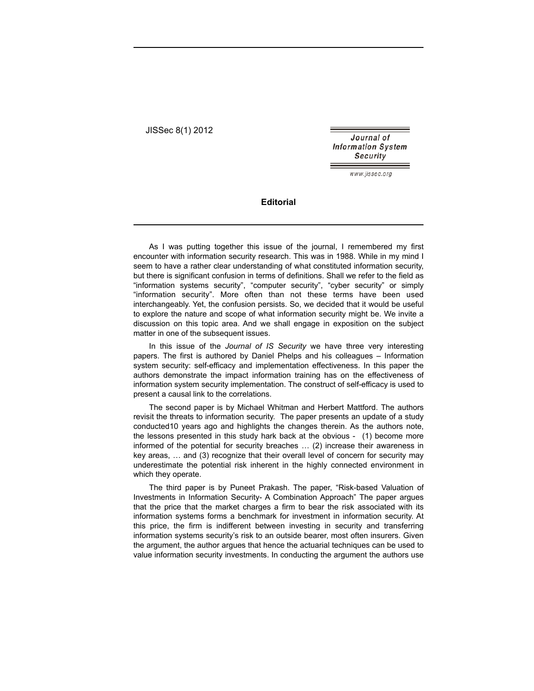JISSec 8(1) 2012

Journal of **Information System** Security

www.iissec.ora

## **Editorial**

As I was putting together this issue of the journal, I remembered my first encounter with information security research. This was in 1988. While in my mind I seem to have a rather clear understanding of what constituted information security, but there is significant confusion in terms of definitions. Shall we refer to the field as "information systems security", "computer security", "cyber security" or simply "information security". More often than not these terms have been used interchangeably. Yet, the confusion persists. So, we decided that it would be useful to explore the nature and scope of what information security might be. We invite a discussion on this topic area. And we shall engage in exposition on the subject matter in one of the subsequent issues.

In this issue of the *Journal of IS Security* we have three very interesting papers. The first is authored by Daniel Phelps and his colleagues – Information system security: self-efficacy and implementation effectiveness. In this paper the authors demonstrate the impact information training has on the effectiveness of information system security implementation. The construct of self-efficacy is used to present a causal link to the correlations.

The second paper is by Michael Whitman and Herbert Mattford. The authors revisit the threats to information security. The paper presents an update of a study conducted10 years ago and highlights the changes therein. As the authors note, the lessons presented in this study hark back at the obvious - (1) become more informed of the potential for security breaches … (2) increase their awareness in key areas, … and (3) recognize that their overall level of concern for security may underestimate the potential risk inherent in the highly connected environment in which they operate.

The third paper is by Puneet Prakash. The paper, "Risk-based Valuation of Investments in Information Security- A Combination Approach" The paper argues that the price that the market charges a firm to bear the risk associated with its information systems forms a benchmark for investment in information security. At this price, the firm is indifferent between investing in security and transferring information systems security's risk to an outside bearer, most often insurers. Given the argument, the author argues that hence the actuarial techniques can be used to value information security investments. In conducting the argument the authors use